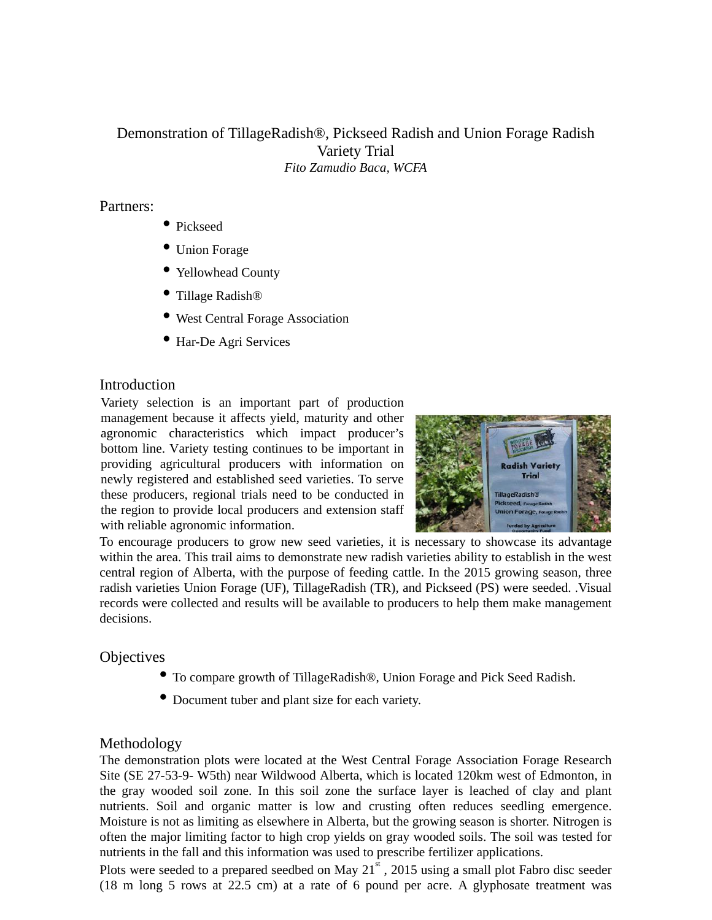# Demonstration of TillageRadish®, Pickseed Radish and Union Forage Radish Variety Trial *Fito Zamudio Baca, WCFA*

#### Partners:

- Pickseed
- Union Forage
- Yellowhead County
- Tillage Radish®
- West Central Forage Association
- Har-De Agri Services

#### Introduction

Variety selection is an important part of production management because it affects yield, maturity and other agronomic characteristics which impact producer's bottom line. Variety testing continues to be important in providing agricultural producers with information on newly registered and established seed varieties. To serve these producers, regional trials need to be conducted in the region to provide local producers and extension staff with reliable agronomic information.



To encourage producers to grow new seed varieties, it is necessary to showcase its advantage within the area. This trail aims to demonstrate new radish varieties ability to establish in the west central region of Alberta, with the purpose of feeding cattle. In the 2015 growing season, three radish varieties Union Forage (UF), TillageRadish (TR), and Pickseed (PS) were seeded. .Visual records were collected and results will be available to producers to help them make management decisions.

### **Objectives**

- To compare growth of TillageRadish®, Union Forage and Pick Seed Radish.
- Document tuber and plant size for each variety.

### Methodology

The demonstration plots were located at the West Central Forage Association Forage Research Site (SE 27-53-9- W5th) near Wildwood Alberta, which is located 120km west of Edmonton, in the gray wooded soil zone. In this soil zone the surface layer is leached of clay and plant nutrients. Soil and organic matter is low and crusting often reduces seedling emergence. Moisture is not as limiting as elsewhere in Alberta, but the growing season is shorter. Nitrogen is often the major limiting factor to high crop yields on gray wooded soils. The soil was tested for nutrients in the fall and this information was used to prescribe fertilizer applications.

Plots were seeded to a prepared seedbed on May  $21<sup>st</sup>$ , 2015 using a small plot Fabro disc seeder (18 m long 5 rows at 22.5 cm) at a rate of 6 pound per acre. A glyphosate treatment was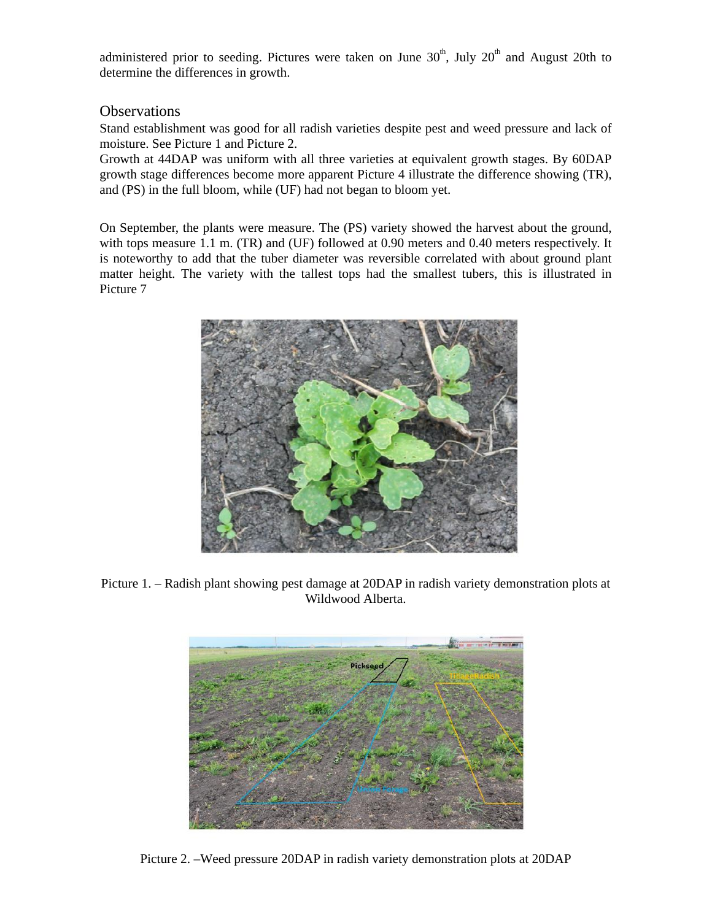administered prior to seeding. Pictures were taken on June  $30<sup>th</sup>$ , July  $20<sup>th</sup>$  and August 20th to determine the differences in growth.

## **Observations**

Stand establishment was good for all radish varieties despite pest and weed pressure and lack of moisture. See Picture 1 and Picture 2.

Growth at 44DAP was uniform with all three varieties at equivalent growth stages. By 60DAP growth stage differences become more apparent Picture 4 illustrate the difference showing (TR), and (PS) in the full bloom, while (UF) had not began to bloom yet.

On September, the plants were measure. The (PS) variety showed the harvest about the ground, with tops measure 1.1 m. (TR) and (UF) followed at 0.90 meters and 0.40 meters respectively. It is noteworthy to add that the tuber diameter was reversible correlated with about ground plant matter height. The variety with the tallest tops had the smallest tubers, this is illustrated in Picture 7



Picture 1. – Radish plant showing pest damage at 20DAP in radish variety demonstration plots at Wildwood Alberta.



Picture 2. –Weed pressure 20DAP in radish variety demonstration plots at 20DAP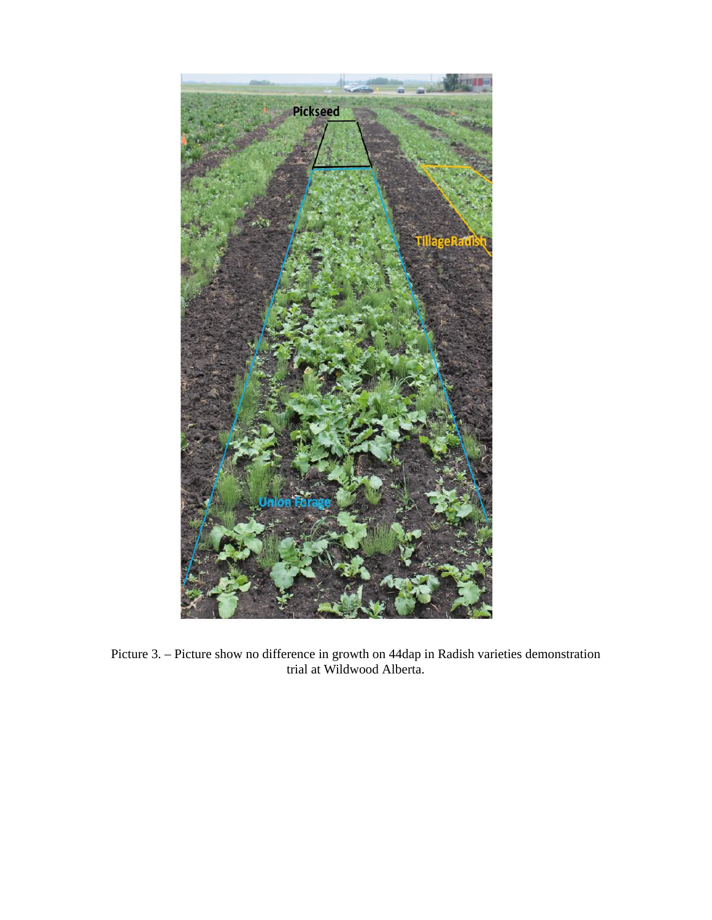

Picture 3. – Picture show no difference in growth on 44dap in Radish varieties demonstration trial at Wildwood Alberta.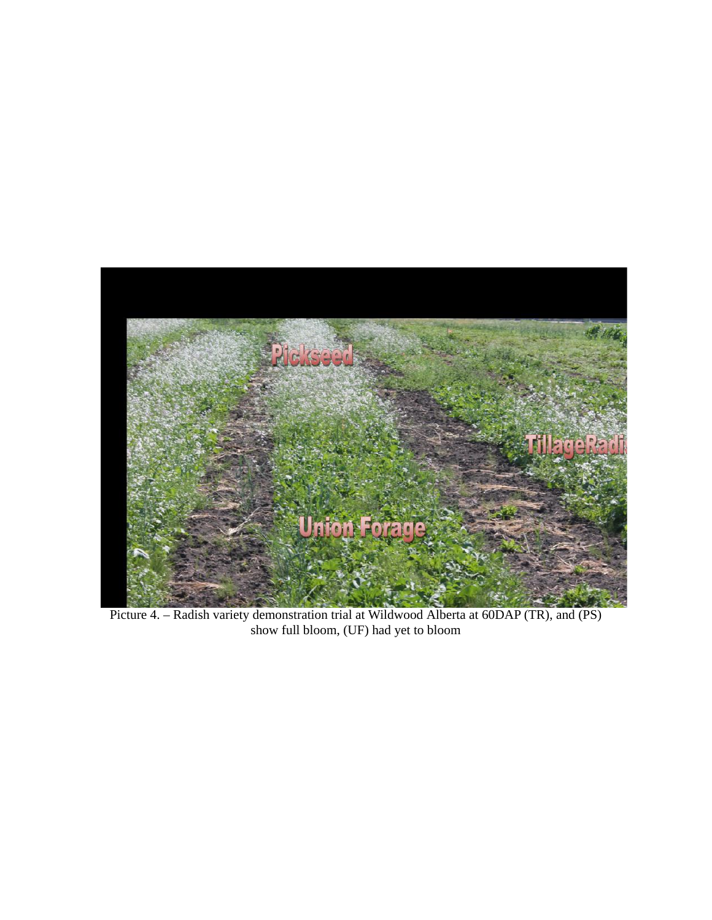

Picture 4. – Radish variety demonstration trial at Wildwood Alberta at 60DAP (TR), and (PS) show full bloom, (UF) had yet to bloom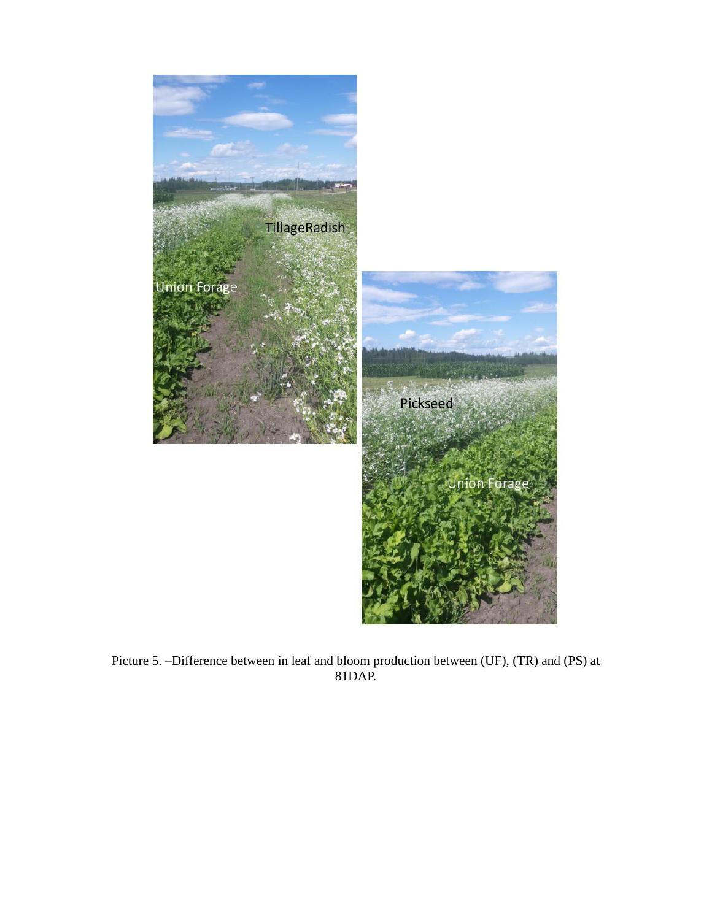

Picture 5. –Difference between in leaf and bloom production between (UF), (TR) and (PS) at 81DAP.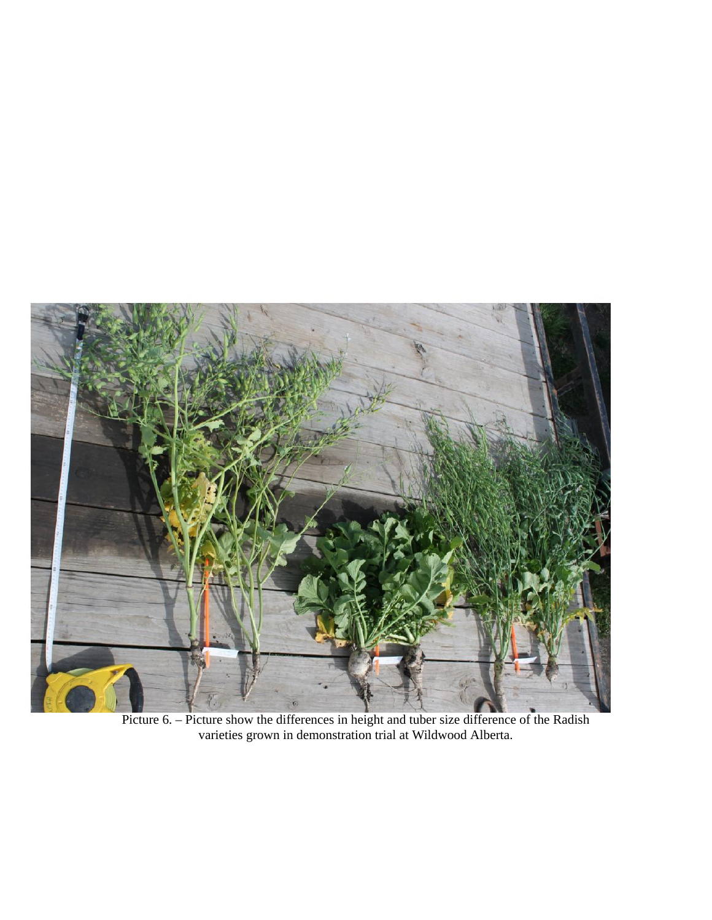

Picture 6. – Picture show the differences in height and tuber size difference of the Radish varieties grown in demonstration trial at Wildwood Alberta.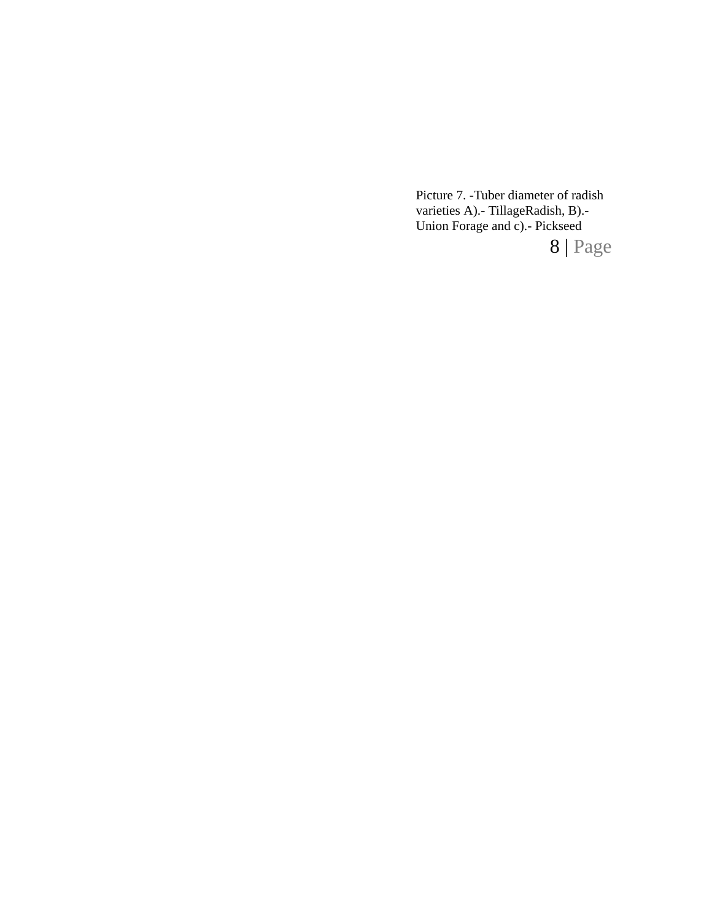Picture 7. -Tuber diameter of radish varieties A).- TillageRadish, B).- Union Forage and c).- Pickseed

8 | Page